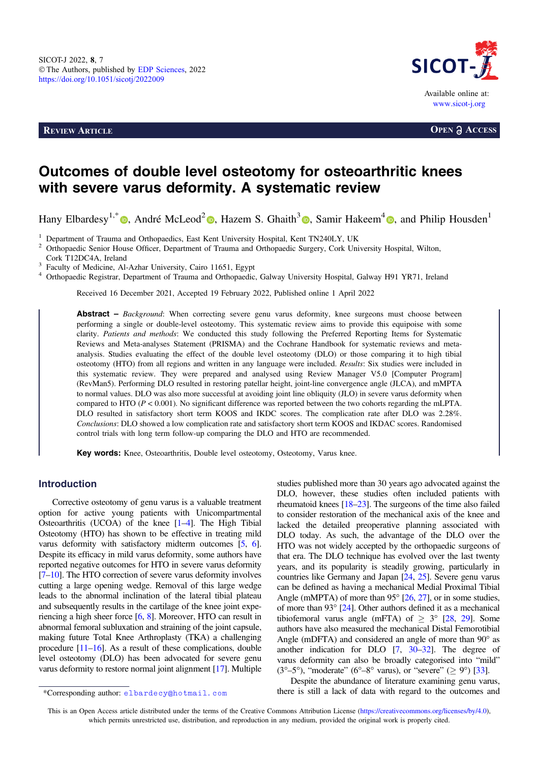**REVIEW ARTICLE OPEN a ACCESS** 



# Outcomes of double level osteotomy for osteoarthritic knees with severe varus deformity. A systematic review

Hany Elbardesy<sup>1[,](https://orcid.org/0000-0002-4866-7424)\*</sup>  $\bullet$ , André McLeod<sup>[2](https://orcid.org/0000-0002-5318-2181)</sup>  $\bullet$ , Hazem S. Ghaith<sup>3</sup>  $\bullet$ , Samir Hakeem<sup>4</sup>  $\bullet$ , and Philip Housden<sup>1</sup>

<sup>1</sup> Department of Trauma and Orthopaedics, East Kent University Hospital, Kent TN240LY, UK<br><sup>2</sup> Orthopaedic Senior House Officer, Department of Trauma and Orthopaedic Surgery, Cork University Hospital, Wilton,<br>Cork T12DC4A,

<sup>3</sup> Faculty of Medicine, Al-Azhar University, Cairo 11651, Egypt<br><sup>4</sup> Orthopaedic Registrar, Department of Trauma and Orthopaedic, Galway University Hospital, Galway H91 YR71, Ireland

Received 16 December 2021, Accepted 19 February 2022, Published online 1 April 2022

Abstract – Background: When correcting severe genu varus deformity, knee surgeons must choose between performing a single or double-level osteotomy. This systematic review aims to provide this equipoise with some clarity. Patients and methods: We conducted this study following the Preferred Reporting Items for Systematic Reviews and Meta-analyses Statement (PRISMA) and the Cochrane Handbook for systematic reviews and metaanalysis. Studies evaluating the effect of the double level osteotomy (DLO) or those comparing it to high tibial osteotomy (HTO) from all regions and written in any language were included. Results: Six studies were included in this systematic review. They were prepared and analysed using Review Manager V5.0 [Computer Program] (RevMan5). Performing DLO resulted in restoring patellar height, joint-line convergence angle (JLCA), and mMPTA to normal values. DLO was also more successful at avoiding joint line obliquity (JLO) in severe varus deformity when compared to HTO ( $P < 0.001$ ). No significant difference was reported between the two cohorts regarding the mLPTA. DLO resulted in satisfactory short term KOOS and IKDC scores. The complication rate after DLO was 2.28%. Conclusions: DLO showed a low complication rate and satisfactory short term KOOS and IKDAC scores. Randomised control trials with long term follow-up comparing the DLO and HTO are recommended.

Key words: Knee, Osteoarthritis, Double level osteotomy, Osteotomy, Varus knee.

## Introduction

Corrective osteotomy of genu varus is a valuable treatment option for active young patients with Unicompartmental Osteoarthritis (UCOA) of the knee [\[1](#page-4-0)–[4](#page-4-0)]. The High Tibial Osteotomy (HTO) has shown to be effective in treating mild varus deformity with satisfactory midterm outcomes [\[5,](#page-4-0) [6](#page-4-0)]. Despite its efficacy in mild varus deformity, some authors have reported negative outcomes for HTO in severe varus deformity [[7](#page-5-0)–[10\]](#page-5-0). The HTO correction of severe varus deformity involves cutting a large opening wedge. Removal of this large wedge leads to the abnormal inclination of the lateral tibial plateau and subsequently results in the cartilage of the knee joint experiencing a high sheer force [[6](#page-4-0), [8](#page-5-0)]. Moreover, HTO can result in abnormal femoral subluxation and straining of the joint capsule, making future Total Knee Arthroplasty (TKA) a challenging procedure [\[11](#page-5-0)–[16\]](#page-5-0). As a result of these complications, double level osteotomy (DLO) has been advocated for severe genu varus deformity to restore normal joint alignment [\[17\]](#page-5-0). Multiple

studies published more than 30 years ago advocated against the DLO, however, these studies often included patients with rheumatoid knees [[18](#page-5-0)–[23\]](#page-5-0). The surgeons of the time also failed to consider restoration of the mechanical axis of the knee and lacked the detailed preoperative planning associated with DLO today. As such, the advantage of the DLO over the HTO was not widely accepted by the orthopaedic surgeons of that era. The DLO technique has evolved over the last twenty years, and its popularity is steadily growing, particularly in countries like Germany and Japan [\[24](#page-5-0), [25](#page-5-0)]. Severe genu varus can be defined as having a mechanical Medial Proximal Tibial Angle (mMPTA) of more than 95 $^{\circ}$  [\[26,](#page-5-0) [27\]](#page-5-0), or in some studies, of more than  $93^{\circ}$  [\[24](#page-5-0)]. Other authors defined it as a mechanical tibiofemoral varus angle (mFTA) of  $\geq$  3° [\[28,](#page-5-0) [29\]](#page-5-0). Some authors have also measured the mechanical Distal Femorotibial Angle (mDFTA) and considered an angle of more than  $90^\circ$  as another indication for DLO [\[7,](#page-5-0) [30](#page-5-0)–[32\]](#page-5-0). The degree of varus deformity can also be broadly categorised into "mild"  $(3^{\circ}-5^{\circ})$ , "moderate" (6°–8° varus), or "severe" ( $\geq$  9°) [[33](#page-5-0)].

Despite the abundance of literature examining genu varus, \*Corresponding author: elbardecy@hotmail.com there is still a lack of data with regard to the outcomes and

This is an Open Access article distributed under the terms of the Creative Commons Attribution License [\(https://creativecommons.org/licenses/by/4.0](https://creativecommons.org/licenses/by/4.0/)), which permits unrestricted use, distribution, and reproduction in any medium, provided the original work is properly cited.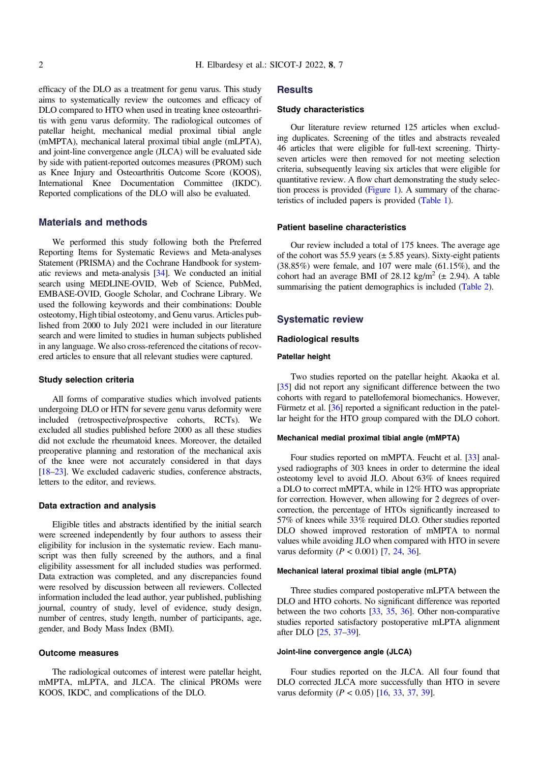efficacy of the DLO as a treatment for genu varus. This study aims to systematically review the outcomes and efficacy of DLO compared to HTO when used in treating knee osteoarthritis with genu varus deformity. The radiological outcomes of patellar height, mechanical medial proximal tibial angle (mMPTA), mechanical lateral proximal tibial angle (mLPTA), and joint-line convergence angle (JLCA) will be evaluated side by side with patient-reported outcomes measures (PROM) such as Knee Injury and Osteoarthritis Outcome Score (KOOS), International Knee Documentation Committee (IKDC). Reported complications of the DLO will also be evaluated.

## Materials and methods

We performed this study following both the Preferred Reporting Items for Systematic Reviews and Meta-analyses Statement (PRISMA) and the Cochrane Handbook for systematic reviews and meta-analysis [[34\]](#page-5-0). We conducted an initial search using MEDLINE-OVID, Web of Science, PubMed, EMBASE-OVID, Google Scholar, and Cochrane Library. We used the following keywords and their combinations: Double osteotomy, High tibial osteotomy, and Genu varus. Articles published from 2000 to July 2021 were included in our literature search and were limited to studies in human subjects published in any language. We also cross-referenced the citations of recovered articles to ensure that all relevant studies were captured.

## Study selection criteria

All forms of comparative studies which involved patients undergoing DLO or HTN for severe genu varus deformity were included (retrospective/prospective cohorts, RCTs). We excluded all studies published before 2000 as all these studies did not exclude the rheumatoid knees. Moreover, the detailed preoperative planning and restoration of the mechanical axis of the knee were not accurately considered in that days [[18](#page-5-0)–[23\]](#page-5-0). We excluded cadaveric studies, conference abstracts, letters to the editor, and reviews.

#### Data extraction and analysis

Eligible titles and abstracts identified by the initial search were screened independently by four authors to assess their eligibility for inclusion in the systematic review. Each manuscript was then fully screened by the authors, and a final eligibility assessment for all included studies was performed. Data extraction was completed, and any discrepancies found were resolved by discussion between all reviewers. Collected information included the lead author, year published, publishing journal, country of study, level of evidence, study design, number of centres, study length, number of participants, age, gender, and Body Mass Index (BMI).

#### Outcome measures

The radiological outcomes of interest were patellar height, mMPTA, mLPTA, and JLCA. The clinical PROMs were KOOS, IKDC, and complications of the DLO.

## **Results**

## Study characteristics

Our literature review returned 125 articles when excluding duplicates. Screening of the titles and abstracts revealed 46 articles that were eligible for full-text screening. Thirtyseven articles were then removed for not meeting selection criteria, subsequently leaving six articles that were eligible for quantitative review. A flow chart demonstrating the study selection process is provided ([Figure 1\)](#page-2-0). A summary of the characteristics of included papers is provided [\(Table 1](#page-2-0)).

#### Patient baseline characteristics

Our review included a total of 175 knees. The average age of the cohort was 55.9 years  $(\pm 5.85$  years). Sixty-eight patients (38.85%) were female, and 107 were male (61.15%), and the cohort had an average BMI of 28.12 kg/m<sup>2</sup> ( $\pm$  2.94). A table summarising the patient demographics is included ([Table 2\)](#page-3-0).

## Systematic review

#### Radiological results

#### Patellar height

Two studies reported on the patellar height. Akaoka et al. [[35](#page-5-0)] did not report any significant difference between the two cohorts with regard to patellofemoral biomechanics. However, Fürmetz et al. [\[36](#page-5-0)] reported a significant reduction in the patellar height for the HTO group compared with the DLO cohort.

#### Mechanical medial proximal tibial angle (mMPTA)

Four studies reported on mMPTA. Feucht et al. [[33](#page-5-0)] analysed radiographs of 303 knees in order to determine the ideal osteotomy level to avoid JLO. About 63% of knees required a DLO to correct mMPTA, while in 12% HTO was appropriate for correction. However, when allowing for 2 degrees of overcorrection, the percentage of HTOs significantly increased to 57% of knees while 33% required DLO. Other studies reported DLO showed improved restoration of mMPTA to normal values while avoiding JLO when compared with HTO in severe varus deformity ( $P < 0.001$ ) [\[7,](#page-5-0) [24](#page-5-0), [36\]](#page-5-0).

### Mechanical lateral proximal tibial angle (mLPTA)

Three studies compared postoperative mLPTA between the DLO and HTO cohorts. No significant difference was reported between the two cohorts [\[33,](#page-5-0) [35](#page-5-0), [36](#page-5-0)]. Other non-comparative studies reported satisfactory postoperative mLPTA alignment after DLO [[25](#page-5-0), [37](#page-5-0)–[39](#page-5-0)].

#### Joint-line convergence angle (JLCA)

Four studies reported on the JLCA. All four found that DLO corrected JLCA more successfully than HTO in severe varus deformity ( $P < 0.05$ ) [\[16,](#page-5-0) [33](#page-5-0), [37,](#page-5-0) [39\]](#page-5-0).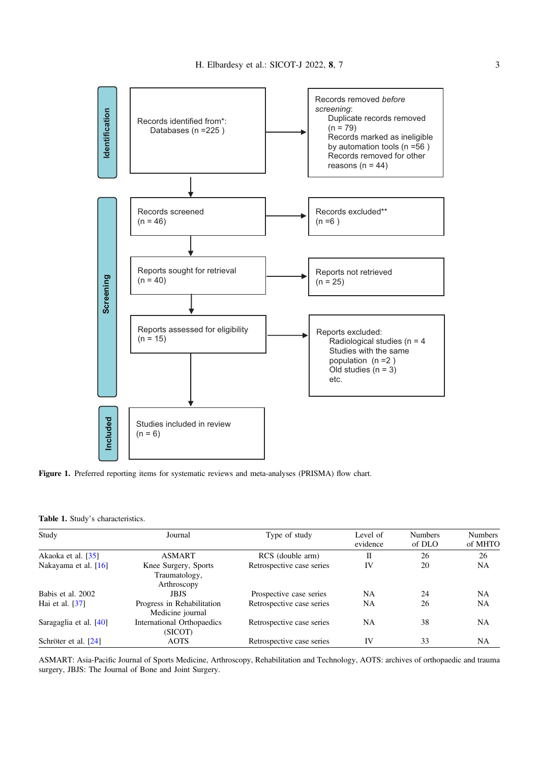<span id="page-2-0"></span>



|  | Table 1. Study's characteristics. |
|--|-----------------------------------|
|  |                                   |

| Study                        | Journal                                              | Type of study             | Level of<br>evidence | <b>Numbers</b><br>of DLO | <b>Numbers</b><br>of MHTO |
|------------------------------|------------------------------------------------------|---------------------------|----------------------|--------------------------|---------------------------|
| Akaoka et al. [35]           | <b>ASMART</b>                                        | RCS (double arm)          | Н                    | 26                       | 26                        |
| Nakayama et al. [16]         | Knee Surgery, Sports<br>Traumatology,<br>Arthroscopy | Retrospective case series | IV                   | 20                       | <b>NA</b>                 |
| Babis et al. 2002            | <b>JBJS</b>                                          | Prospective case series   | NA.                  | 24                       | <b>NA</b>                 |
| Hai et al. $\left[37\right]$ | Progress in Rehabilitation<br>Medicine journal       | Retrospective case series | NA                   | 26                       | <b>NA</b>                 |
| Saragaglia et al. [40]       | International Orthopaedics<br>(SICOT)                | Retrospective case series | NA                   | 38                       | <b>NA</b>                 |
| Schröter et al. [24]         | <b>AOTS</b>                                          | Retrospective case series | IV                   | 33                       | NA                        |

ASMART: Asia-Pacific Journal of Sports Medicine, Arthroscopy, Rehabilitation and Technology, AOTS: archives of orthopaedic and trauma surgery, JBJS: The Journal of Bone and Joint Surgery.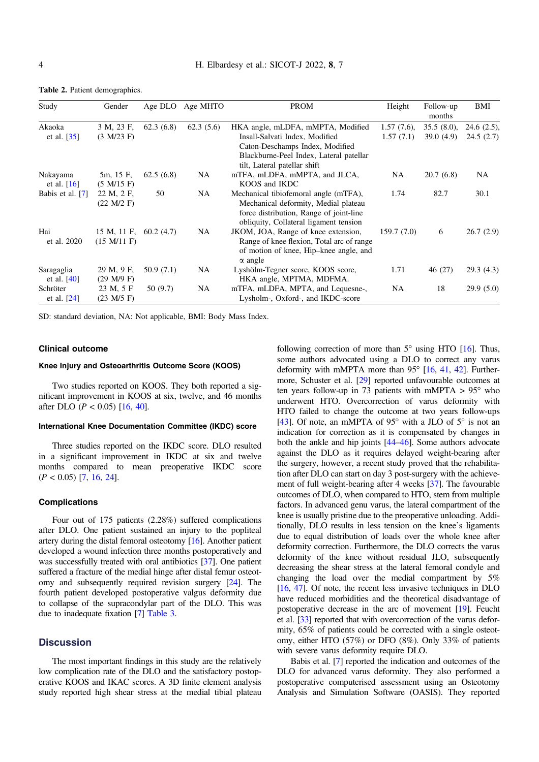| Study            | Gender                   | Age DLO   | Age MHTO  | <b>PROM</b>                               | Height        | Follow-up<br>months | BMI           |
|------------------|--------------------------|-----------|-----------|-------------------------------------------|---------------|---------------------|---------------|
| Akaoka           | 3 M, 23 F,               | 62.3(6.8) | 62.3(5.6) | HKA angle, mLDFA, mMPTA, Modified         | $1.57(7.6)$ , | $35.5(8.0)$ ,       | $24.6(2.5)$ . |
| et al. $[35]$    | (3 M/23 F)               |           |           | Insall-Salvati Index, Modified            | 1.57(7.1)     | 39.0(4.9)           | 24.5(2.7)     |
|                  |                          |           |           | Caton-Deschamps Index, Modified           |               |                     |               |
|                  |                          |           |           | Blackburne-Peel Index, Lateral patellar   |               |                     |               |
|                  |                          |           |           | tilt, Lateral patellar shift              |               |                     |               |
| Nakayama         | 5m, 15 F,                | 62.5(6.8) | NA.       | mTFA, mLDFA, mMPTA, and JLCA,             | NA            | 20.7(6.8)           | <b>NA</b>     |
| et al. $[16]$    | (5 M/15 F)               |           |           | KOOS and IKDC                             |               |                     |               |
| Babis et al. [7] | 22 M, 2 F,               | 50        | <b>NA</b> | Mechanical tibiofemoral angle (mTFA),     | 1.74          | 82.7                | 30.1          |
|                  | (22 M/2 F)               |           |           | Mechanical deformity, Medial plateau      |               |                     |               |
|                  |                          |           |           | force distribution, Range of joint-line   |               |                     |               |
|                  |                          |           |           | obliquity, Collateral ligament tension    |               |                     |               |
| Hai              | 15 M, 11 F, $60.2$ (4.7) |           | <b>NA</b> | JKOM, JOA, Range of knee extension,       | 159.7(7.0)    | 6                   | 26.7(2.9)     |
| et al. 2020      | (15 M/11 F)              |           |           | Range of knee flexion, Total arc of range |               |                     |               |
|                  |                          |           |           | of motion of knee, Hip-knee angle, and    |               |                     |               |
|                  |                          |           |           | $\alpha$ angle                            |               |                     |               |
| Saragaglia       | 29 M, 9 F,               | 50.9(7.1) | <b>NA</b> | Lyshölm-Tegner score, KOOS score,         | 1.71          | 46 (27)             | 29.3(4.3)     |
| et al. $[40]$    | (29 M/9 F)               |           |           | HKA angle, MPTMA, MDFMA.                  |               |                     |               |
| Schröter         | 23 M, 5 F                | 50 (9.7)  | NA.       | mTFA, mLDFA, MPTA, and Lequesne-,         | NA            | 18                  | 29.9(5.0)     |
| et al. $[24]$    | (23 M/5 F)               |           |           | Lysholm-, Oxford-, and IKDC-score         |               |                     |               |

<span id="page-3-0"></span>Table 2. Patient demographics.

SD: standard deviation, NA: Not applicable, BMI: Body Mass Index.

#### Clinical outcome

## Knee Injury and Osteoarthritis Outcome Score (KOOS)

Two studies reported on KOOS. They both reported a significant improvement in KOOS at six, twelve, and 46 months after DLO ( $P < 0.05$ ) [[16](#page-5-0), [40\]](#page-5-0).

#### International Knee Documentation Committee (IKDC) score

Three studies reported on the IKDC score. DLO resulted in a significant improvement in IKDC at six and twelve months compared to mean preoperative IKDC score  $(P < 0.05)$  [\[7,](#page-5-0) [16](#page-5-0), [24\]](#page-5-0).

#### **Complications**

Four out of 175 patients (2.28%) suffered complications after DLO. One patient sustained an injury to the popliteal artery during the distal femoral osteotomy [\[16\]](#page-5-0). Another patient developed a wound infection three months postoperatively and was successfully treated with oral antibiotics [\[37\]](#page-5-0). One patient suffered a fracture of the medial hinge after distal femur osteotomy and subsequently required revision surgery [[24\]](#page-5-0). The fourth patient developed postoperative valgus deformity due to collapse of the supracondylar part of the DLO. This was due to inadequate fixation [\[7\]](#page-5-0) [Table 3](#page-4-0).

## **Discussion**

The most important findings in this study are the relatively low complication rate of the DLO and the satisfactory postoperative KOOS and IKAC scores. A 3D finite element analysis study reported high shear stress at the medial tibial plateau following correction of more than  $5^\circ$  using HTO [\[16\]](#page-5-0). Thus, some authors advocated using a DLO to correct any varus deformity with mMPTA more than  $95^{\circ}$  [[16](#page-5-0), [41,](#page-5-0) [42\]](#page-6-0). Furthermore, Schuster et al. [\[29\]](#page-5-0) reported unfavourable outcomes at ten years follow-up in 73 patients with mMPTA  $> 95^{\circ}$  who underwent HTO. Overcorrection of varus deformity with HTO failed to change the outcome at two years follow-ups [[43](#page-6-0)]. Of note, an mMPTA of 95 $\degree$  with a JLO of 5 $\degree$  is not an indication for correction as it is compensated by changes in both the ankle and hip joints [\[44](#page-6-0)–[46\]](#page-6-0). Some authors advocate against the DLO as it requires delayed weight-bearing after the surgery, however, a recent study proved that the rehabilitation after DLO can start on day 3 post-surgery with the achievement of full weight-bearing after 4 weeks [\[37\]](#page-5-0). The favourable outcomes of DLO, when compared to HTO, stem from multiple factors. In advanced genu varus, the lateral compartment of the knee is usually pristine due to the preoperative unloading. Additionally, DLO results in less tension on the knee's ligaments due to equal distribution of loads over the whole knee after deformity correction. Furthermore, the DLO corrects the varus deformity of the knee without residual JLO, subsequently decreasing the shear stress at the lateral femoral condyle and changing the load over the medial compartment by 5% [[16](#page-5-0), [47](#page-6-0)]. Of note, the recent less invasive techniques in DLO have reduced morbidities and the theoretical disadvantage of postoperative decrease in the arc of movement [\[19\]](#page-5-0). Feucht et al. [\[33\]](#page-5-0) reported that with overcorrection of the varus deformity, 65% of patients could be corrected with a single osteotomy, either HTO (57%) or DFO (8%). Only 33% of patients with severe varus deformity require DLO.

Babis et al. [\[7](#page-5-0)] reported the indication and outcomes of the DLO for advanced varus deformity. They also performed a postoperative computerised assessment using an Osteotomy Analysis and Simulation Software (OASIS). They reported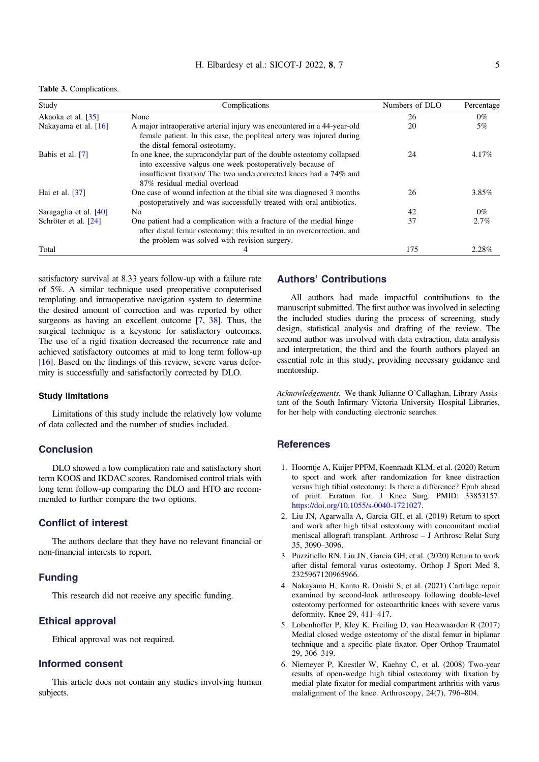<span id="page-4-0"></span>Table 3. Complications.

| Study                  | Complications                                                                                                                                                                                                                           | Numbers of DLO | Percentage |
|------------------------|-----------------------------------------------------------------------------------------------------------------------------------------------------------------------------------------------------------------------------------------|----------------|------------|
| Akaoka et al. [35]     | None                                                                                                                                                                                                                                    | 26             | $0\%$      |
| Nakayama et al. $[16]$ | A major intraoperative arterial injury was encountered in a 44-year-old<br>female patient. In this case, the popliteal artery was injured during<br>the distal femoral osteotomy.                                                       | 20             | $5\%$      |
| Babis et al. [7]       | In one knee, the supracondylar part of the double osteotomy collapsed<br>into excessive valgus one week postoperatively because of<br>insufficient fixation/ The two undercorrected knees had a 74% and<br>87% residual medial overload | 24             | $4.17\%$   |
| Hai et al. $[37]$      | One case of wound infection at the tibial site was diagnosed 3 months<br>postoperatively and was successfully treated with oral antibiotics.                                                                                            | 26             | 3.85%      |
| Saragaglia et al. [40] | N <sub>0</sub>                                                                                                                                                                                                                          | 42             | $0\%$      |
| Schröter et al. [24]   | One patient had a complication with a fracture of the medial hinge<br>after distal femur osteotomy; this resulted in an overcorrection, and<br>the problem was solved with revision surgery.                                            | 37             | $2.7\%$    |
| Total                  | 4                                                                                                                                                                                                                                       | 175            | 2.28%      |

satisfactory survival at 8.33 years follow-up with a failure rate of 5%. A similar technique used preoperative computerised templating and intraoperative navigation system to determine the desired amount of correction and was reported by other surgeons as having an excellent outcome  $[7, 38]$  $[7, 38]$  $[7, 38]$ . Thus, the surgical technique is a keystone for satisfactory outcomes. The use of a rigid fixation decreased the recurrence rate and achieved satisfactory outcomes at mid to long term follow-up [[16](#page-5-0)]. Based on the findings of this review, severe varus deformity is successfully and satisfactorily corrected by DLO.

#### Study limitations

Limitations of this study include the relatively low volume of data collected and the number of studies included.

## Conclusion

DLO showed a low complication rate and satisfactory short term KOOS and IKDAC scores. Randomised control trials with long term follow-up comparing the DLO and HTO are recommended to further compare the two options.

## Conflict of interest

The authors declare that they have no relevant financial or non-financial interests to report.

## Funding

This research did not receive any specific funding.

# Ethical approval

Ethical approval was not required.

# Informed consent

This article does not contain any studies involving human subjects.

# Authors' Contributions

All authors had made impactful contributions to the manuscript submitted. The first author was involved in selecting the included studies during the process of screening, study design, statistical analysis and drafting of the review. The second author was involved with data extraction, data analysis and interpretation, the third and the fourth authors played an essential role in this study, providing necessary guidance and mentorship.

Acknowledgements. We thank Julianne O'Callaghan, Library Assistant of the South Infirmary Victoria University Hospital Libraries, for her help with conducting electronic searches.

## **References**

- 1. Hoorntje A, Kuijer PPFM, Koenraadt KLM, et al. (2020) Return to sport and work after randomization for knee distraction versus high tibial osteotomy: Is there a difference? Epub ahead of print. Erratum for: J Knee Surg. PMID: 33853157. [https://doi.org/10.1055/s-0040-1721027.](https://doi.org/10.1055/s-0040-1721027)
- 2. Liu JN, Agarwalla A, Garcia GH, et al. (2019) Return to sport and work after high tibial osteotomy with concomitant medial meniscal allograft transplant. Arthrosc – J Arthrosc Relat Surg 35, 3090–3096.
- 3. Puzzitiello RN, Liu JN, Garcia GH, et al. (2020) Return to work after distal femoral varus osteotomy. Orthop J Sport Med 8, 2325967120965966.
- 4. Nakayama H, Kanto R, Onishi S, et al. (2021) Cartilage repair examined by second-look arthroscopy following double-level osteotomy performed for osteoarthritic knees with severe varus deformity. Knee 29, 411–417.
- 5. Lobenhoffer P, Kley K, Freiling D, van Heerwaarden R (2017) Medial closed wedge osteotomy of the distal femur in biplanar technique and a specific plate fixator. Oper Orthop Traumatol 29, 306–319.
- 6. Niemeyer P, Koestler W, Kaehny C, et al. (2008) Two-year results of open-wedge high tibial osteotomy with fixation by medial plate fixator for medial compartment arthritis with varus malalignment of the knee. Arthroscopy, 24(7), 796–804.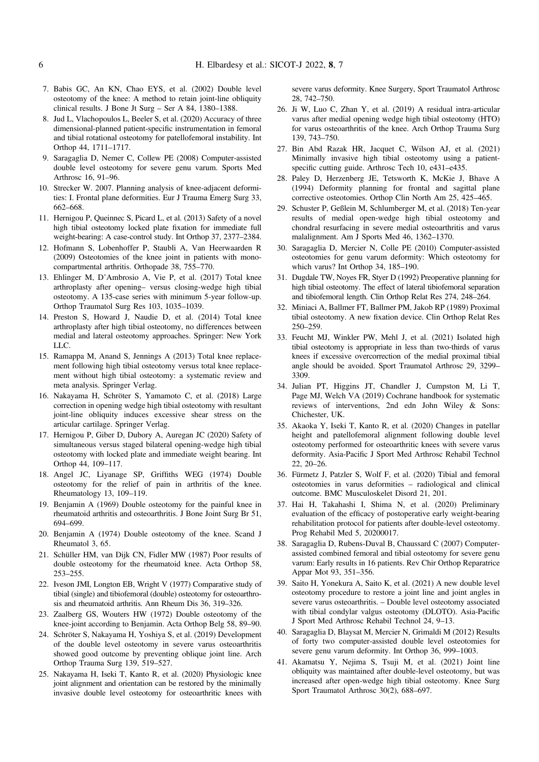- <span id="page-5-0"></span>7. Babis GC, An KN, Chao EYS, et al. (2002) Double level osteotomy of the knee: A method to retain joint-line obliquity clinical results. J Bone Jt Surg – Ser A 84, 1380–1388.
- 8. Jud L, Vlachopoulos L, Beeler S, et al. (2020) Accuracy of three dimensional-planned patient-specific instrumentation in femoral and tibial rotational osteotomy for patellofemoral instability. Int Orthop 44, 1711–1717.
- 9. Saragaglia D, Nemer C, Collew PE (2008) Computer-assisted double level osteotomy for severe genu varum. Sports Med Arthrosc 16, 91–96.
- 10. Strecker W. 2007. Planning analysis of knee-adjacent deformities: I. Frontal plane deformities. Eur J Trauma Emerg Surg 33, 662–668.
- 11. Hernigou P, Queinnec S, Picard L, et al. (2013) Safety of a novel high tibial osteotomy locked plate fixation for immediate full weight-bearing: A case-control study. Int Orthop 37, 2377–2384.
- 12. Hofmann S, Lobenhoffer P, Staubli A, Van Heerwaarden R (2009) Osteotomies of the knee joint in patients with monocompartmental arthritis. Orthopade 38, 755–770.
- 13. Ehlinger M, D'Ambrosio A, Vie P, et al. (2017) Total knee arthroplasty after opening– versus closing-wedge high tibial osteotomy. A 135-case series with minimum 5-year follow-up. Orthop Traumatol Surg Res 103, 1035–1039.
- 14. Preston S, Howard J, Naudie D, et al. (2014) Total knee arthroplasty after high tibial osteotomy, no differences between medial and lateral osteotomy approaches. Springer: New York LLC.
- 15. Ramappa M, Anand S, Jennings A (2013) Total knee replacement following high tibial osteotomy versus total knee replacement without high tibial osteotomy: a systematic review and meta analysis. Springer Verlag.
- 16. Nakayama H, Schröter S, Yamamoto C, et al. (2018) Large correction in opening wedge high tibial osteotomy with resultant joint-line obliquity induces excessive shear stress on the articular cartilage. Springer Verlag.
- 17. Hernigou P, Giber D, Dubory A, Auregan JC (2020) Safety of simultaneous versus staged bilateral opening-wedge high tibial osteotomy with locked plate and immediate weight bearing. Int Orthop 44, 109–117.
- 18. Angel JC, Liyanage SP, Griffiths WEG (1974) Double osteotomy for the relief of pain in arthritis of the knee. Rheumatology 13, 109–119.
- 19. Benjamin A (1969) Double osteotomy for the painful knee in rheumatoid arthritis and osteoarthritis. J Bone Joint Surg Br 51, 694–699.
- 20. Benjamin A (1974) Double osteotomy of the knee. Scand J Rheumatol 3, 65.
- 21. Schüller HM, van Dijk CN, Fidler MW (1987) Poor results of double osteotomy for the rheumatoid knee. Acta Orthop 58, 253–255.
- 22. Iveson JMI, Longton EB, Wright V (1977) Comparative study of tibial (single) and tibiofemoral (double) osteotomy for osteoarthrosis and rheumatoid arthritis. Ann Rheum Dis 36, 319–326.
- 23. Zaalberg GS, Wouters HW (1972) Double osteotomy of the knee-joint according to Benjamin. Acta Orthop Belg 58, 89–90.
- 24. Schröter S, Nakayama H, Yoshiya S, et al. (2019) Development of the double level osteotomy in severe varus osteoarthritis showed good outcome by preventing oblique joint line. Arch Orthop Trauma Surg 139, 519–527.
- 25. Nakayama H, Iseki T, Kanto R, et al. (2020) Physiologic knee joint alignment and orientation can be restored by the minimally invasive double level osteotomy for osteoarthritic knees with

severe varus deformity. Knee Surgery, Sport Traumatol Arthrosc 28, 742–750.

- 26. Ji W, Luo C, Zhan Y, et al. (2019) A residual intra-articular varus after medial opening wedge high tibial osteotomy (HTO) for varus osteoarthritis of the knee. Arch Orthop Trauma Surg 139, 743–750.
- 27. Bin Abd Razak HR, Jacquet C, Wilson AJ, et al. (2021) Minimally invasive high tibial osteotomy using a patientspecific cutting guide. Arthrosc Tech 10, e431–e435.
- 28. Paley D, Herzenberg JE, Tetsworth K, McKie J, Bhave A (1994) Deformity planning for frontal and sagittal plane corrective osteotomies. Orthop Clin North Am 25, 425–465.
- 29. Schuster P, Geßlein M, Schlumberger M, et al. (2018) Ten-year results of medial open-wedge high tibial osteotomy and chondral resurfacing in severe medial osteoarthritis and varus malalignment. Am J Sports Med 46, 1362–1370.
- 30. Saragaglia D, Mercier N, Colle PE (2010) Computer-assisted osteotomies for genu varum deformity: Which osteotomy for which varus? Int Orthop 34, 185–190.
- 31. Dugdale TW, Noyes FR, Styer D (1992) Preoperative planning for high tibial osteotomy. The effect of lateral tibiofemoral separation and tibiofemoral length. Clin Orthop Relat Res 274, 248–264.
- 32. Miniaci A, Ballmer FT, Ballmer PM, Jakob RP (1989) Proximal tibial osteotomy. A new fixation device. Clin Orthop Relat Res 250–259.
- 33. Feucht MJ, Winkler PW, Mehl J, et al. (2021) Isolated high tibial osteotomy is appropriate in less than two-thirds of varus knees if excessive overcorrection of the medial proximal tibial angle should be avoided. Sport Traumatol Arthrosc 29, 3299– 3309.
- 34. Julian PT, Higgins JT, Chandler J, Cumpston M, Li T, Page MJ, Welch VA (2019) Cochrane handbook for systematic reviews of interventions, 2nd edn John Wiley & Sons: Chichester, UK.
- 35. Akaoka Y, Iseki T, Kanto R, et al. (2020) Changes in patellar height and patellofemoral alignment following double level osteotomy performed for osteoarthritic knees with severe varus deformity. Asia-Pacific J Sport Med Arthrosc Rehabil Technol 22, 20–26.
- 36. Fürmetz J, Patzler S, Wolf F, et al. (2020) Tibial and femoral osteotomies in varus deformities – radiological and clinical outcome. BMC Musculoskelet Disord 21, 201.
- 37. Hai H, Takahashi I, Shima N, et al. (2020) Preliminary evaluation of the efficacy of postoperative early weight-bearing rehabilitation protocol for patients after double-level osteotomy. Prog Rehabil Med 5, 20200017.
- 38. Saragaglia D, Rubens-Duval B, Chaussard C (2007) Computerassisted combined femoral and tibial osteotomy for severe genu varum: Early results in 16 patients. Rev Chir Orthop Reparatrice Appar Mot 93, 351–356.
- 39. Saito H, Yonekura A, Saito K, et al. (2021) A new double level osteotomy procedure to restore a joint line and joint angles in severe varus osteoarthritis. – Double level osteotomy associated with tibial condylar valgus osteotomy (DLOTO). Asia-Pacific J Sport Med Arthrosc Rehabil Technol 24, 9–13.
- 40. Saragaglia D, Blaysat M, Mercier N, Grimaldi M (2012) Results of forty two computer-assisted double level osteotomies for severe genu varum deformity. Int Orthop 36, 999–1003.
- 41. Akamatsu Y, Nejima S, Tsuji M, et al. (2021) Joint line obliquity was maintained after double-level osteotomy, but was increased after open-wedge high tibial osteotomy. Knee Surg Sport Traumatol Arthrosc 30(2), 688–697.